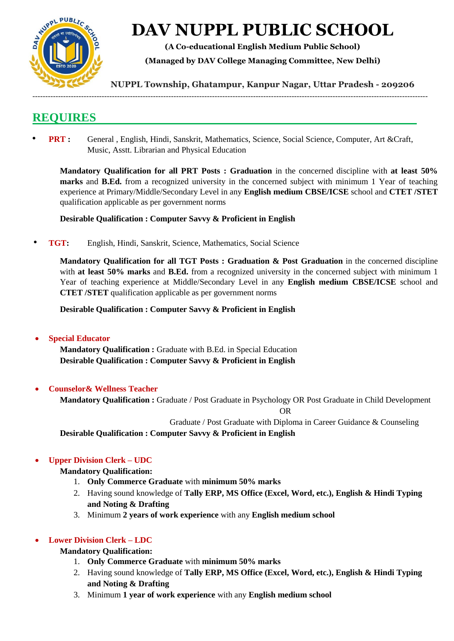

# **DAV NUPPL PUBLIC SCHOOL**

**(A Co-educational English Medium Public School)** 

**(Managed by DAV College Managing Committee, New Delhi)** 

**NUPPL Township, Ghatampur, Kanpur Nagar, Uttar Pradesh - 209206** 

# **REQUIRES**

• **PRT :** General , English, Hindi, Sanskrit, Mathematics, Science, Social Science, Computer, Art &Craft, Music, Asstt. Librarian and Physical Education

----------------------------------------------------------------------------------------------------------------------------------------------------------

**Mandatory Qualification for all PRT Posts : Graduation** in the concerned discipline with **at least 50% marks** and **B.Ed.** from a recognized university in the concerned subject with minimum 1 Year of teaching experience at Primary/Middle/Secondary Level in any **English medium CBSE/ICSE** school and **CTET /STET**  qualification applicable as per government norms

#### **Desirable Qualification : Computer Savvy & Proficient in English**

• **TGT:** English, Hindi, Sanskrit, Science, Mathematics, Social Science

**Mandatory Qualification for all TGT Posts : Graduation & Post Graduation** in the concerned discipline with **at least 50% marks** and **B.Ed.** from a recognized university in the concerned subject with minimum 1 Year of teaching experience at Middle/Secondary Level in any **English medium CBSE/ICSE** school and **CTET /STET** qualification applicable as per government norms

**Desirable Qualification : Computer Savvy & Proficient in English**

**Special Educator**

**Mandatory Qualification :** Graduate with B.Ed. in Special Education **Desirable Qualification : Computer Savvy & Proficient in English**

#### **Counselor& Wellness Teacher**

**Mandatory Qualification :** Graduate / Post Graduate in Psychology OR Post Graduate in Child Development

OR

Graduate / Post Graduate with Diploma in Career Guidance & Counseling

**Desirable Qualification : Computer Savvy & Proficient in English**

#### **Upper Division Clerk – UDC**

#### **Mandatory Qualification:**

- 1. **Only Commerce Graduate** with **minimum 50% marks**
- 2. Having sound knowledge of **Tally ERP, MS Office (Excel, Word, etc.), English & Hindi Typing and Noting & Drafting**
- 3. Minimum **2 years of work experience** with any **English medium school**

#### **Lower Division Clerk – LDC**

#### **Mandatory Qualification:**

- 1. **Only Commerce Graduate** with **minimum 50% marks**
- 2. Having sound knowledge of **Tally ERP, MS Office (Excel, Word, etc.), English & Hindi Typing and Noting & Drafting**
- 3. Minimum **1 year of work experience** with any **English medium school**